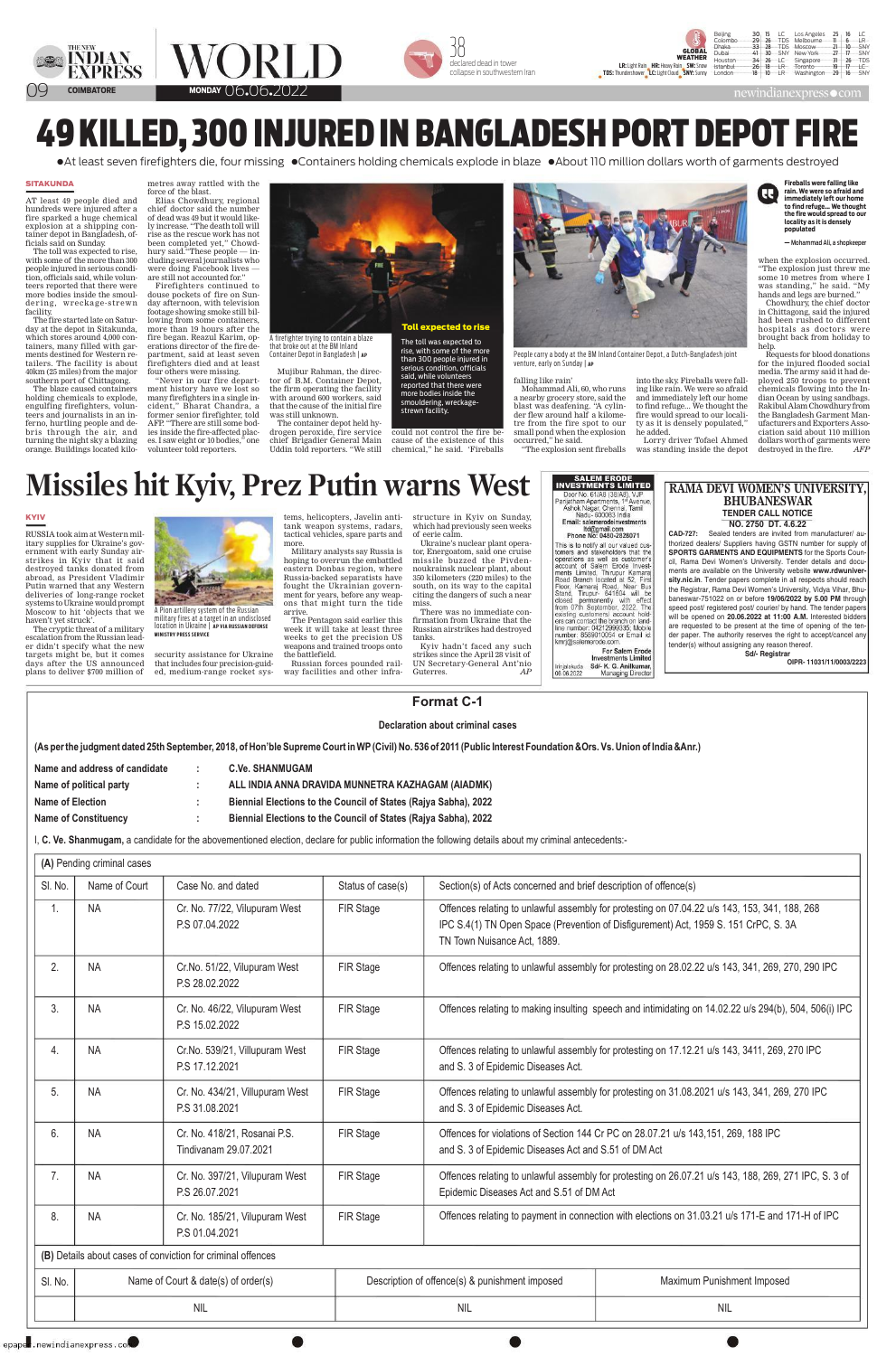







newindianexpress • com

## 49 KILLED, 300 INJURED IN BANGLADESH PORT DEPOT FIRE

• At least seven firefighters die, four missing • Containers holding chemicals explode in blaze • About 110 million dollars worth of garments destroyed

## **SITAKUNDA**

AT least 49 people died and hundreds were injured after a fire sparked a huge chemical explosion at a shipping container depot in Bangladesh, officials said on Sunday.

The toll was expected to rise, with some of the more than 300 people injured in serious condition, officials said, while volunteers reported that there were more bodies inside the smouldering, wreckage-strewn facility.

The fire started late on Saturday at the depot in Sitakunda, which stores around 4,000 containers, many filled with garments destined for Western retailers. The facility is about 40km (25 miles) from the major southern port of Chittagong.

The blaze caused containers holding chemicals to explode, engulfing fire fighters, volunteers and journalists in an inferno, hurtling people and debris through the air, and turning the night sky a blazing orange. Buildings located kilometres away rattled with the force of the blast.

Elias Chowdhury, regional chief doctor said the number of dead was 49 but it would likely increase. "The death toll will rise as the rescue work has not been completed yet," Chowdhury said. "These people — including several journalists who were doing Facebook lives are still not accounted for."

Firefighters continued to douse pockets of fire on Sunday afternoon, with television footage showing smoke still billowing from some containers, more than 19 hours after the fire began. Reazul Karim, operations director of the fire department, said at least seven firefighters died and at least four others were missing.

"Never in our fire department history have we lost so many firefighters in a single incident," Bharat Chandra, a former senior firefighter, told AFP. "There are still some bodies inside the fire-affected places. I saw eight or 10 bodies," one

volunteer told reporters.



A firefighter trying to contain a blaze that broke out at the BM Inland Container Depot in Bangladesh | AP

Mujibur Rahman, the director of B.M. Container Depot, the firm operating the facility with around 600 workers, said that the cause of the initial fire was still unknown.

The container depot held hydrogen peroxide, fire service chief Brigadier General Main Uddin told reporters. "We still

The toll was expected to rise, with some of the more than 300 people injured in serious condition, officials said, while volunteers reported that there were more bodies inside the smouldering, wreckagestrewn facility.

could not control the fire because of the existence of this chemical," he said. 'Fireballs



People carry a body at the BM Inland Container Depot, a Dutch-Bangladesh joint venture, early on Sunday | AP

he added.

into the sky. Fireballs were fall-

ing like rain. We were so afraid

and immediately left our home

to find refuge... We thought the

fire would spread to our locali-

Lorry driver Tofael Ahmed

was standing inside the depot

ty as it is densely populated,"

## falling like rain'

Mohammad Ali, 60, who runs a nearby grocery store, said the blast was deafening. "A cylinder flew around half a kilometre from the fire spot to our small pond when the explosion occurred," he said.

"The explosion sent fireballs"

**Fireballs were falling like** rain. We were so afraid and R. immediately left our home to find refuge... We thought the fire would spread to our locality as it is densely populated

 $|R$ 

SNY

**TDS** 

 $26$ 

- Mohammad Ali, a shopkeeper

when the explosion occurred. "The explosion just threw me some 10 metres from where I was standing," he said. "My hands and legs are burned."

Chowdhury, the chief doctor in Chittagong, said the injured had been rushed to different hospitals as doctors were brought back from holiday to help.

Requests for blood donations for the injured flooded social media. The army said it had deployed 250 troops to prevent chemicals flowing into the Indian Ocean by using sandbags. Rakibul Alam Chowdhury from the Bangladesh Garment Manufacturers and Exporters Association said about 110 million dollars worth of garments were destroyed in the fire. AFP

## Missiles hit Kyiv, Prez Putin warns West

**KYIV** 

RUSSIA took aim at Western mil-



tactical vehicles, spare parts and of eerie calm.

tems, helicopters, Javelin anti-<br>structure in Kyiv on Sunday, tank weapon systems, radars, which had previously seen weeks

SALEM ERODE<br>INVESTMENTS LIMITED Door No. 61/A8 (38/A8), VJP Panjatham Apartments, 1st Avenue, Ashok Nagar, Chennai, Tamil Nadu- 600083 India Email: salemerodeinvestments Itd@gmail.com Phone No: 0480-2828071



itary supplies for Ukraine's government with early Sunday airstrikes in Kyiv that it said destroyed tanks donated from abroad, as President Vladimir Putin warned that any Western deliveries of long-range rocket systems to Ukraine would prompt Moscow to hit 'objects that we haven't vet struck'.

The cryptic threat of a military escalation from the Russian leader didn't specify what the new targets might be, but it comes days after the US announced plans to deliver \$700 million of

A Pion artillery system of the Russian military fires at a target in an undisclosed location in Ukraine | AP VIA RUSSIAN DEFENSE **MINISTRY PRESS SERVICE** 

security assistance for Ukraine that includes four precision-guided, medium-range rocket sys-

more.

Military analysts say Russia is hoping to overrun the embattled eastern Donbas region, where Russia-backed separatists have fought the Ukrainian government for years, before any weapons that might turn the tide arrive.

The Pentagon said earlier this week it will take at least three weeks to get the precision US weapons and trained troops onto the battlefield.

Russian forces pounded railway facilities and other infraUkraine's nuclear plant opera-

tor, Energoatom, said one cruise missile buzzed the Pivdennoukrainsk nuclear plant, about 350 kilometers (220 miles) to the south, on its way to the capital citing the dangers of such a near miss.

There was no immediate confirmation from Ukraine that the Russian airstrikes had destroyed tanks.

Kyiv hadn't faced any such strikes since the April 28 visit of UN Secretary-General Ant'nio Guterres.  $AP$ 

This is to notify all our valued customers and stakeholders that the operations as well as customer's<br>account of Salem Erode Investments Limited, Thirupur Kamara Road Branch located at 52, First Floor, Kamaraj Road, Near Bus Stand, Tirupur- 641604 will be closed permanently with effect from 07th September, 2022. The existing customers/ account holders can contact the branch on landline number: 04212999335; Mobile number: 8589010054 or Email id: kmrj@salemerode.com.

For Salem Erode **Investments Limited** Sd/- K. G. Anilkumar. rinjalakuda 06.06.2022 Managing Director

thorized dealers/ Suppliers having GSTN number for supply of **SPORTS GARMENTS AND EQUIPMENTS for the Sports Coun**cil, Rama Devi Women's University. Tender details and documents are available on the University website www.rdwuniversity.nic.in. Tender papers complete in all respects should reach the Registrar, Rama Devi Women's University, Vidya Vihar, Bhubaneswar-751022 on or before 19/06/2022 by 5.00 PM through speed post/registered post/courier/ by hand. The tender papers will be opened on 20.06.2022 at 11:00 A.M. Interested bidders are requested to be present at the time of opening of the tender paper. The authority reserves the right to accept/cancel any tender(s) without assigning any reason thereof.

> **Sd/- Registrar** OIPR-11031/11/0003/2223

| <b>Format C-1</b>                                                                                                                                                                                                                                                                                                                       |                                     |                                                       |                   |                                                                                                                                                                                                                     |  |
|-----------------------------------------------------------------------------------------------------------------------------------------------------------------------------------------------------------------------------------------------------------------------------------------------------------------------------------------|-------------------------------------|-------------------------------------------------------|-------------------|---------------------------------------------------------------------------------------------------------------------------------------------------------------------------------------------------------------------|--|
| <b>Declaration about criminal cases</b>                                                                                                                                                                                                                                                                                                 |                                     |                                                       |                   |                                                                                                                                                                                                                     |  |
| (As per the judgment dated 25th September, 2018, of Hon'ble Supreme Court in WP (Civil) No. 536 of 2011 (Public Interest Foundation &Ors. Vs. Union of India &Anr.)                                                                                                                                                                     |                                     |                                                       |                   |                                                                                                                                                                                                                     |  |
| Name and address of candidate<br><b>C.Ve. SHANMUGAM</b><br>Name of political party<br>ALL INDIA ANNA DRAVIDA MUNNETRA KAZHAGAM (AIADMK)<br><b>Name of Election</b><br>Biennial Elections to the Council of States (Rajya Sabha), 2022<br><b>Name of Constituency</b><br>Biennial Elections to the Council of States (Rajya Sabha), 2022 |                                     |                                                       |                   |                                                                                                                                                                                                                     |  |
| , C. Ve. Shanmugam, a candidate for the abovementioned election, declare for public information the following details about my criminal antecedents:-                                                                                                                                                                                   |                                     |                                                       |                   |                                                                                                                                                                                                                     |  |
| (A) Pending criminal cases                                                                                                                                                                                                                                                                                                              |                                     |                                                       |                   |                                                                                                                                                                                                                     |  |
| SI. No.                                                                                                                                                                                                                                                                                                                                 | Name of Court                       | Case No. and dated                                    | Status of case(s) | Section(s) of Acts concerned and brief description of offence(s)                                                                                                                                                    |  |
| 1.                                                                                                                                                                                                                                                                                                                                      | <b>NA</b>                           | Cr. No. 77/22, Vilupuram West<br>P.S 07.04.2022       | <b>FIR Stage</b>  | Offences relating to unlawful assembly for protesting on 07.04.22 u/s 143, 153, 341, 188, 268<br>IPC S.4(1) TN Open Space (Prevention of Disfigurement) Act, 1959 S. 151 CrPC, S. 3A<br>TN Town Nuisance Act, 1889. |  |
| 2.                                                                                                                                                                                                                                                                                                                                      | <b>NA</b>                           | Cr. No. 51/22, Vilupuram West<br>P.S 28.02.2022       | <b>FIR Stage</b>  | Offences relating to unlawful assembly for protesting on 28.02.22 u/s 143, 341, 269, 270, 290 IPC                                                                                                                   |  |
| 3.                                                                                                                                                                                                                                                                                                                                      | <b>NA</b>                           | Cr. No. 46/22, Vilupuram West<br>P.S 15.02.2022       | <b>FIR Stage</b>  | Offences relating to making insulting speech and intimidating on 14.02.22 u/s 294(b), 504, 506(i) IPC                                                                                                               |  |
| 4.                                                                                                                                                                                                                                                                                                                                      | <b>NA</b>                           | Cr.No. 539/21, Villupuram West<br>P.S 17, 12, 2021    | <b>FIR Stage</b>  | Offences relating to unlawful assembly for protesting on 17.12.21 u/s 143, 3411, 269, 270 IPC<br>and S. 3 of Epidemic Diseases Act.                                                                                 |  |
| 5.                                                                                                                                                                                                                                                                                                                                      | <b>NA</b>                           | Cr. No. 434/21, Villupuram West<br>P.S 31.08.2021     | <b>FIR Stage</b>  | Offences relating to unlawful assembly for protesting on 31.08.2021 u/s 143, 341, 269, 270 IPC<br>and S. 3 of Epidemic Diseases Act.                                                                                |  |
| 6.                                                                                                                                                                                                                                                                                                                                      | <b>NA</b>                           | Cr. No. 418/21, Rosanai P.S.<br>Tindivanam 29.07.2021 | <b>FIR Stage</b>  | Offences for violations of Section 144 Cr PC on 28.07.21 u/s 143,151, 269, 188 IPC<br>and S. 3 of Epidemic Diseases Act and S.51 of DM Act                                                                          |  |
| 7.                                                                                                                                                                                                                                                                                                                                      | <b>NA</b>                           | Cr. No. 397/21, Vilupuram West<br>P.S 26.07.2021      | <b>FIR Stage</b>  | Offences relating to unlawful assembly for protesting on 26.07.21 u/s 143, 188, 269, 271 IPC, S. 3 of<br>Epidemic Diseases Act and S.51 of DM Act                                                                   |  |
| 8.                                                                                                                                                                                                                                                                                                                                      | <b>NA</b>                           | Cr. No. 185/21, Vilupuram West<br>PS 01.04.2021       | <b>FIR Stage</b>  | Offences relating to payment in connection with elections on 31.03.21 u/s 171-E and 171-H of IPC                                                                                                                    |  |
| (B) Details about cases of conviction for criminal offences                                                                                                                                                                                                                                                                             |                                     |                                                       |                   |                                                                                                                                                                                                                     |  |
| SI. No.                                                                                                                                                                                                                                                                                                                                 | Name of Court & date(s) of order(s) |                                                       |                   | Description of offence(s) & punishment imposed<br><b>Maximum Punishment Imposed</b>                                                                                                                                 |  |
| <b>NIL</b><br><b>NIL</b><br><b>NIL</b>                                                                                                                                                                                                                                                                                                  |                                     |                                                       |                   |                                                                                                                                                                                                                     |  |

epaper.newindianexpress.com